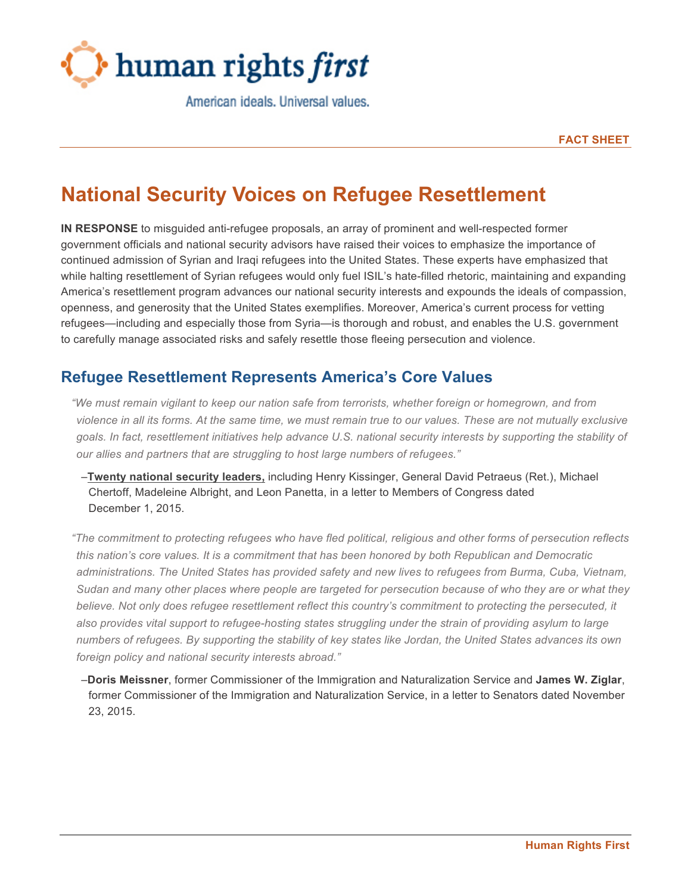

American ideals, Universal values.

**FACT SHEET**

# **National Security Voices on Refugee Resettlement**

**IN RESPONSE** to misguided anti-refugee proposals, an array of prominent and well-respected former government officials and national security advisors have raised their voices to emphasize the importance of continued admission of Syrian and Iraqi refugees into the United States. These experts have emphasized that while halting resettlement of Syrian refugees would only fuel ISIL's hate-filled rhetoric, maintaining and expanding America's resettlement program advances our national security interests and expounds the ideals of compassion, openness, and generosity that the United States exemplifies. Moreover, America's current process for vetting refugees—including and especially those from Syria—is thorough and robust, and enables the U.S. government to carefully manage associated risks and safely resettle those fleeing persecution and violence.

## **Refugee Resettlement Represents America's Core Values**

*"We must remain vigilant to keep our nation safe from terrorists, whether foreign or homegrown, and from* violence in all its forms. At the same time, we must remain true to our values. These are not mutually exclusive goals. In fact, resettlement initiatives help advance U.S. national security interests by supporting the stability of *our allies and partners that are struggling to host large numbers of refugees."*

–**Twenty national security leaders,** including Henry Kissinger, General David Petraeus (Ret.), Michael Chertoff, Madeleine Albright, and Leon Panetta, in a letter to Members of Congress dated December 1, 2015.

"The commitment to protecting refugees who have fled political, religious and other forms of persecution reflects *this nation's core values. It is a commitment that has been honored by both Republican and Democratic administrations. The United States has provided safety and new lives to refugees from Burma, Cuba, Vietnam,* Sudan and many other places where people are targeted for persecution because of who they are or what they *believe. Not only does refugee resettlement reflect this country's commitment to protecting the persecuted, it also provides vital support to refugee-hosting states struggling under the strain of providing asylum to large* numbers of refugees. By supporting the stability of key states like Jordan, the United States advances its own *foreign policy and national security interests abroad."*

–**Doris Meissner**, former Commissioner of the Immigration and Naturalization Service and **James W. Ziglar**, former Commissioner of the Immigration and Naturalization Service, in a letter to Senators dated November 23, 2015.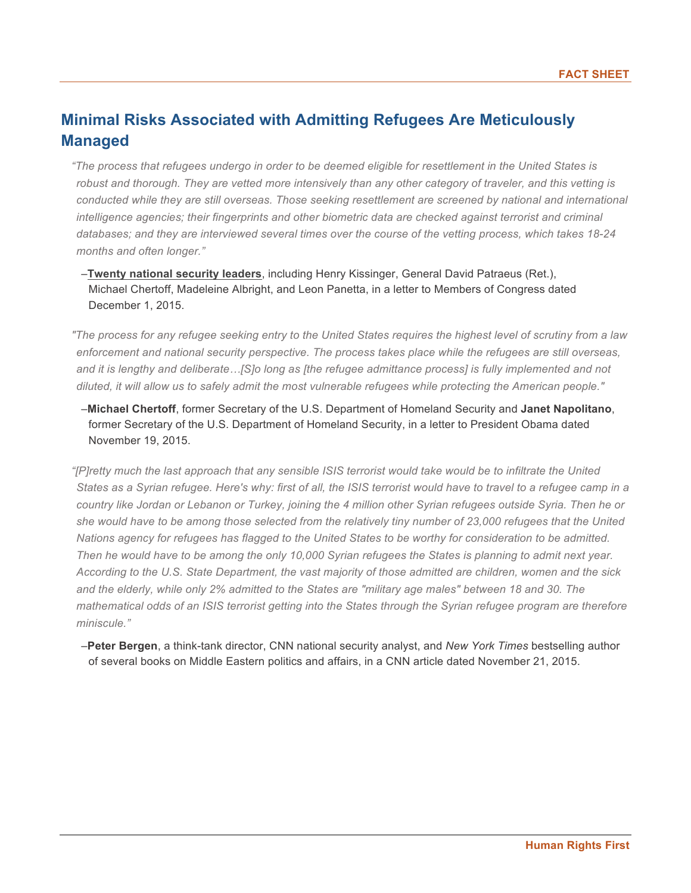## **Minimal Risks Associated with Admitting Refugees Are Meticulously Managed**

"The process that refugees undergo in order to be deemed eligible for resettlement in the United States is robust and thorough. They are vetted more intensively than any other category of traveler, and this vetting is *conducted while they are still overseas. Those seeking resettlement are screened by national and international intelligence agencies; their fingerprints and other biometric data are checked against terrorist and criminal* databases; and they are interviewed several times over the course of the vetting process, which takes 18-24 *months and often longer."*

–**Twenty national security leaders**, including Henry Kissinger, General David Patraeus (Ret.), Michael Chertoff, Madeleine Albright, and Leon Panetta, in a letter to Members of Congress dated December 1, 2015.

"The process for any refugee seeking entry to the United States reguires the highest level of scrutiny from a law *enforcement and national security perspective. The process takes place while the refugees are still overseas,* and it is lengthy and deliberate...[S]o long as [the refugee admittance process] is fully implemented and not diluted, it will allow us to safely admit the most vulnerable refugees while protecting the American people."

–**Michael Chertoff**, former Secretary of the U.S. Department of Homeland Security and **Janet Napolitano**, former Secretary of the U.S. Department of Homeland Security, in a letter to President Obama dated November 19, 2015.

"[P]retty much the last approach that any sensible ISIS terrorist would take would be to infiltrate the United States as a Syrian refugee. Here's why: first of all, the ISIS terrorist would have to travel to a refugee camp in a country like Jordan or Lebanon or Turkey, joining the 4 million other Syrian refugees outside Syria. Then he or she would have to be among those selected from the relatively tiny number of 23,000 refugees that the United Nations agency for refugees has flagged to the United States to be worthy for consideration to be admitted. Then he would have to be among the only 10,000 Syrian refugees the States is planning to admit next year. According to the U.S. State Department, the vast majority of those admitted are children, women and the sick and the elderly, while only 2% admitted to the States are "military age males" between 18 and 30. The mathematical odds of an ISIS terrorist getting into the States through the Syrian refugee program are therefore *miniscule."*

–**Peter Bergen**, a think-tank director, CNN national security analyst, and *New York Times* bestselling author of several books on Middle Eastern politics and affairs, in a CNN article dated November 21, 2015.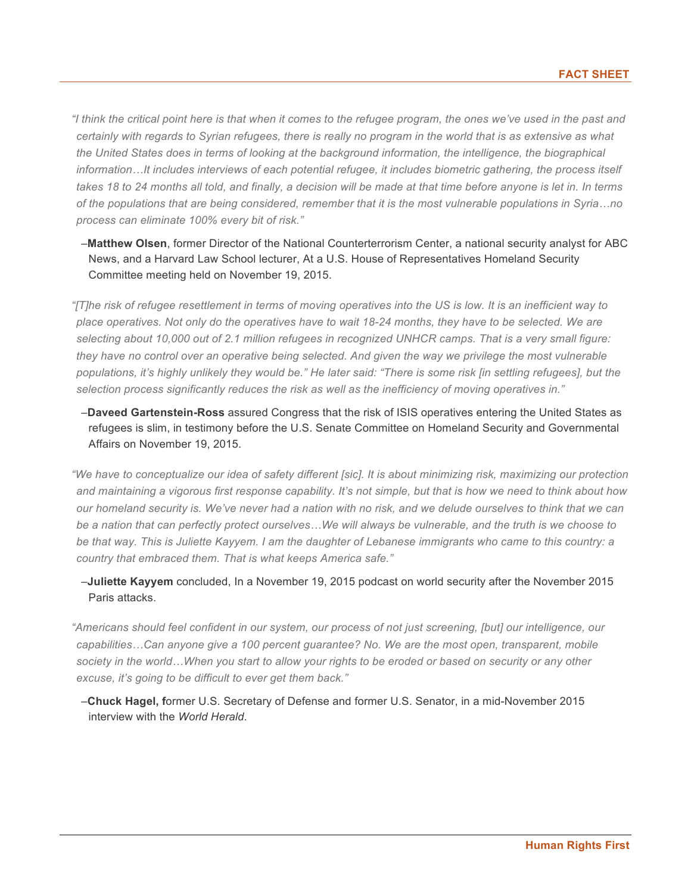"I think the critical point here is that when it comes to the refugee program, the ones we've used in the past and certainly with regards to Syrian refugees, there is really no program in the world that is as extensive as what *the United States does in terms of looking at the background information, the intelligence, the biographical* information...It includes interviews of each potential refugee, it includes biometric gathering, the process itself takes 18 to 24 months all told, and finally, a decision will be made at that time before anyone is let in. In terms of the populations that are being considered, remember that it is the most vulnerable populations in Syria...no *process can eliminate 100% every bit of risk."*

–**Matthew Olsen**, former Director of the National Counterterrorism Center, a national security analyst for ABC News, and a Harvard Law School lecturer, At a U.S. House of Representatives Homeland Security Committee meeting held on November 19, 2015.

"[T]he risk of refugee resettlement in terms of moving operatives into the US is low. It is an inefficient way to place operatives. Not only do the operatives have to wait 18-24 months, they have to be selected. We are selecting about 10,000 out of 2.1 million refugees in recognized UNHCR camps. That is a very small figure: they have no control over an operative being selected. And given the way we privilege the most vulnerable populations, it's highly unlikely they would be." He later said: "There is some risk [in settling refugees], but the *selection process significantly reduces the risk as well as the inefficiency of moving operatives in."*

–**Daveed Gartenstein-Ross** assured Congress that the risk of ISIS operatives entering the United States as refugees is slim, in testimony before the U.S. Senate Committee on Homeland Security and Governmental Affairs on November 19, 2015.

"We have to conceptualize our idea of safety different [sic]. It is about minimizing risk, maximizing our protection and maintaining a vigorous first response capability. It's not simple, but that is how we need to think about how our homeland security is. We've never had a nation with no risk, and we delude ourselves to think that we can be a nation that can perfectly protect ourselves...We will always be vulnerable, and the truth is we choose to be that way. This is Juliette Kayyem. I am the daughter of Lebanese immigrants who came to this country: a *country that embraced them. That is what keeps America safe."*

#### –**Juliette Kayyem** concluded, In a November 19, 2015 podcast on world security after the November 2015 Paris attacks.

"Americans should feel confident in our system, our process of not just screening, [but] our intelligence, our *capabilities…Can anyone give a 100 percent guarantee? No. We are the most open, transparent, mobile* society in the world...When you start to allow your rights to be eroded or based on security or any other *excuse, it's going to be difficult to ever get them back."*

–**Chuck Hagel, f**ormer U.S. Secretary of Defense and former U.S. Senator, in a mid-November 2015 interview with the *World Herald*.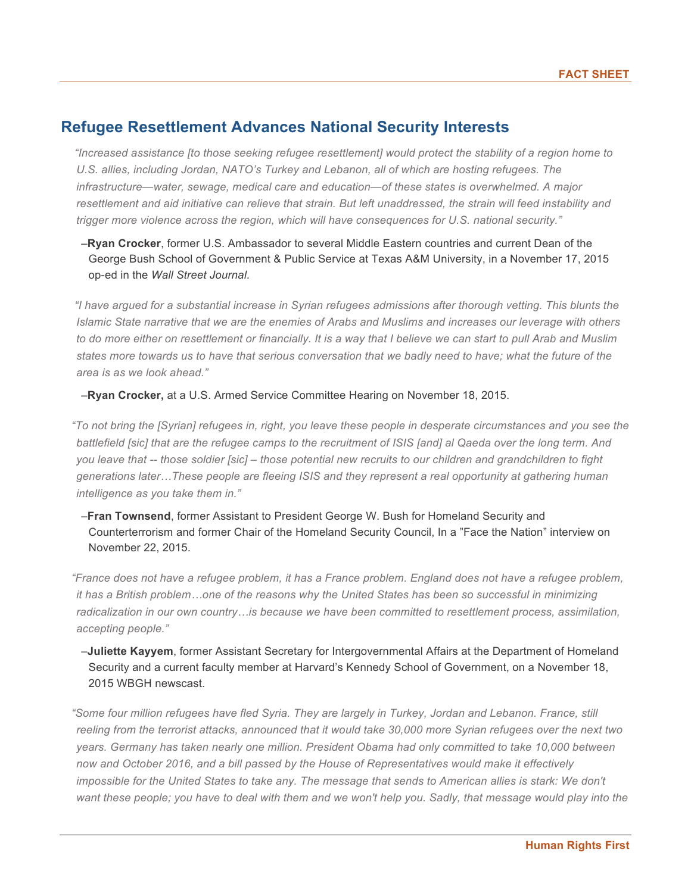## **Refugee Resettlement Advances National Security Interests**

*"Increased assistance [to those seeking refugee resettlement] would protect the stability of a region home to U.S. allies, including Jordan, NATO's Turkey and Lebanon, all of which are hosting refugees. The infrastructure—water, sewage, medical care and education—of these states is overwhelmed. A major* resettlement and aid initiative can relieve that strain. But left unaddressed, the strain will feed instability and *trigger more violence across the region, which will have consequences for U.S. national security."*

#### –**Ryan Crocker**, former U.S. Ambassador to several Middle Eastern countries and current Dean of the George Bush School of Government & Public Service at Texas A&M University, in a November 17, 2015 op-ed in the *Wall Street Journal*.

"I have argued for a substantial increase in Syrian refugees admissions after thorough vetting. This blunts the Islamic State narrative that we are the enemies of Arabs and Muslims and increases our leverage with others to do more either on resettlement or financially. It is a way that I believe we can start to pull Arab and Muslim states more towards us to have that serious conversation that we badly need to have; what the future of the *area is as we look ahead."*

–**Ryan Crocker,** at a U.S. Armed Service Committee Hearing on November 18, 2015.

"To not bring the [Syrian] refugees in, right, you leave these people in desperate circumstances and you see the battlefield [sic] that are the refugee camps to the recruitment of ISIS [and] al Qaeda over the long term. And you leave that -- those soldier [sic] - those potential new recruits to our children and grandchildren to fight *generations later…These people are fleeing ISIS and they represent a real opportunity at gathering human intelligence as you take them in."*

–**Fran Townsend**, former Assistant to President George W. Bush for Homeland Security and Counterterrorism and former Chair of the Homeland Security Council, In a "Face the Nation" interview on November 22, 2015.

"France does not have a refugee problem, it has a France problem. England does not have a refugee problem, it has a British problem...one of the reasons why the United States has been so successful in minimizing *radicalization in our own country…is because we have been committed to resettlement process, assimilation, accepting people."*

–**Juliette Kayyem**, former Assistant Secretary for Intergovernmental Affairs at the Department of Homeland Security and a current faculty member at Harvard's Kennedy School of Government, on a November 18, 2015 WBGH newscast.

"Some four million refugees have fled Syria. They are largely in Turkey, Jordan and Lebanon. France, still reeling from the terrorist attacks, announced that it would take 30,000 more Syrian refugees over the next two *years. Germany has taken nearly one million. President Obama had only committed to take 10,000 between now and October 2016, and a bill passed by the House of Representatives would make it effectively* impossible for the United States to take any. The message that sends to American allies is stark: We don't want these people; you have to deal with them and we won't help you. Sadly, that message would play into the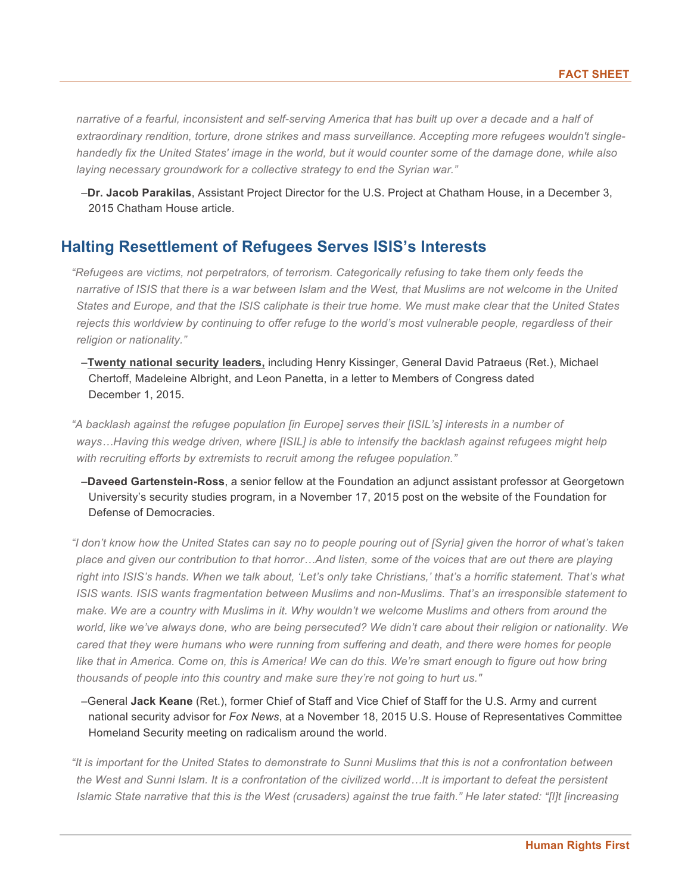narrative of a fearful, inconsistent and self-serving America that has built up over a decade and a half of *extraordinary rendition, torture, drone strikes and mass surveillance. Accepting more refugees wouldn't single*handedly fix the United States' image in the world, but it would counter some of the damage done, while also *laying necessary groundwork for a collective strategy to end the Syrian war."*

–**Dr. Jacob Parakilas**, Assistant Project Director for the U.S. Project at Chatham House, in a December 3, 2015 Chatham House article.

### **Halting Resettlement of Refugees Serves ISIS's Interests**

*"Refugees are victims, not perpetrators, of terrorism. Categorically refusing to take them only feeds the* narrative of ISIS that there is a war between Islam and the West, that Muslims are not welcome in the United States and Europe, and that the ISIS caliphate is their true home. We must make clear that the United States rejects this worldview by continuing to offer refuge to the world's most vulnerable people, regardless of their *religion or nationality."*

–**Twenty national security leaders,** including Henry Kissinger, General David Patraeus (Ret.), Michael Chertoff, Madeleine Albright, and Leon Panetta, in a letter to Members of Congress dated December 1, 2015.

*"A backlash against the refugee population [in Europe] serves their [ISIL's] interests in a number of* ways...Having this wedge driven, where [ISIL] is able to intensify the backlash against refugees might help *with recruiting efforts by extremists to recruit among the refugee population."*

–**Daveed Gartenstein-Ross**, a senior fellow at the Foundation an adjunct assistant professor at Georgetown University's security studies program, in a November 17, 2015 post on the website of the Foundation for Defense of Democracies.

"I don't know how the United States can say no to people pouring out of [Syria] given the horror of what's taken place and given our contribution to that horror...And listen, some of the voices that are out there are playing right into ISIS's hands. When we talk about, 'Let's only take Christians,' that's a horrific statement. That's what *ISIS wants. ISIS wants fragmentation between Muslims and non-Muslims. That's an irresponsible statement to* make. We are a country with Muslims in it. Why wouldn't we welcome Muslims and others from around the world, like we've always done, who are being persecuted? We didn't care about their religion or nationality. We cared that they were humans who were running from suffering and death, and there were homes for people like that in America. Come on, this is America! We can do this. We're smart enough to figure out how bring *thousands of people into this country and make sure they're not going to hurt us."*

–General **Jack Keane** (Ret.), former Chief of Staff and Vice Chief of Staff for the U.S. Army and current national security advisor for *Fox News*, at a November 18, 2015 U.S. House of Representatives Committee Homeland Security meeting on radicalism around the world.

"It is important for the United States to demonstrate to Sunni Muslims that this is not a confrontation between the West and Sunni Islam. It is a confrontation of the civilized world...It is important to defeat the persistent Islamic State narrative that this is the West (crusaders) against the true faith." He later stated: "[I]t [increasing